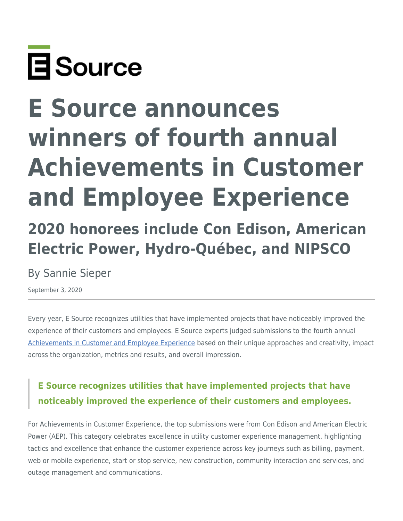

# **E Source announces winners of fourth annual Achievements in Customer and Employee Experience**

## **2020 honorees include Con Edison, American Electric Power, Hydro-Québec, and NIPSCO**

## By Sannie Sieper

September 3, 2020

Every year, E Source recognizes utilities that have implemented projects that have noticeably improved the experience of their customers and employees. E Source experts judged submissions to the fourth annual [Achievements in Customer and Employee Experience](https://www.esource.com/achievements-CX-EX) based on their unique approaches and creativity, impact across the organization, metrics and results, and overall impression.

## **E Source recognizes utilities that have implemented projects that have noticeably improved the experience of their customers and employees.**

For Achievements in Customer Experience, the top submissions were from Con Edison and American Electric Power (AEP). This category celebrates excellence in utility customer experience management, highlighting tactics and excellence that enhance the customer experience across key journeys such as billing, payment, web or mobile experience, start or stop service, new construction, community interaction and services, and outage management and communications.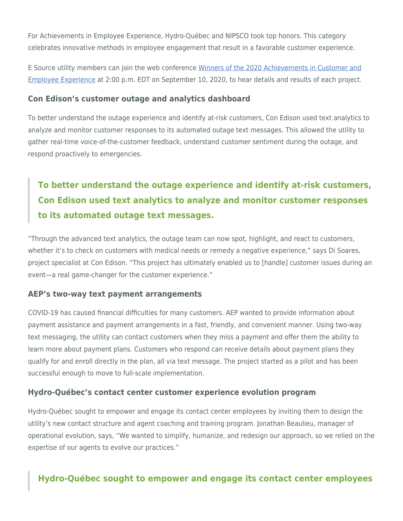For Achievements in Employee Experience, Hydro-Québec and NIPSCO took top honors. This category celebrates innovative methods in employee engagement that result in a favorable customer experience.

E Source utility members can join the web conference [Winners of the 2020 Achievements in Customer and](https://www.esource.com/128202aifg/winners-2020-achievements-customer-and-employee-experience) [Employee Experience](https://www.esource.com/128202aifg/winners-2020-achievements-customer-and-employee-experience) at 2:00 p.m. EDT on September 10, 2020, to hear details and results of each project.

#### **Con Edison's customer outage and analytics dashboard**

To better understand the outage experience and identify at-risk customers, Con Edison used text analytics to analyze and monitor customer responses to its automated outage text messages. This allowed the utility to gather real-time voice-of-the-customer feedback, understand customer sentiment during the outage, and respond proactively to emergencies.

## **To better understand the outage experience and identify at-risk customers, Con Edison used text analytics to analyze and monitor customer responses to its automated outage text messages.**

"Through the advanced text analytics, the outage team can now spot, highlight, and react to customers, whether it's to check on customers with medical needs or remedy a negative experience," says Di Soares, project specialist at Con Edison. "This project has ultimately enabled us to [handle] customer issues during an event—a real game-changer for the customer experience."

#### **AEP's two-way text payment arrangements**

COVID-19 has caused financial difficulties for many customers. AEP wanted to provide information about payment assistance and payment arrangements in a fast, friendly, and convenient manner. Using two-way text messaging, the utility can contact customers when they miss a payment and offer them the ability to learn more about payment plans. Customers who respond can receive details about payment plans they qualify for and enroll directly in the plan, all via text message. The project started as a pilot and has been successful enough to move to full-scale implementation.

#### **Hydro-Québec's contact center customer experience evolution program**

Hydro-Québec sought to empower and engage its contact center employees by inviting them to design the utility's new contact structure and agent coaching and training program. Jonathan Beaulieu, manager of operational evolution, says, "We wanted to simplify, humanize, and redesign our approach, so we relied on the expertise of our agents to evolve our practices."

#### **Hydro-Québec sought to empower and engage its contact center employees**